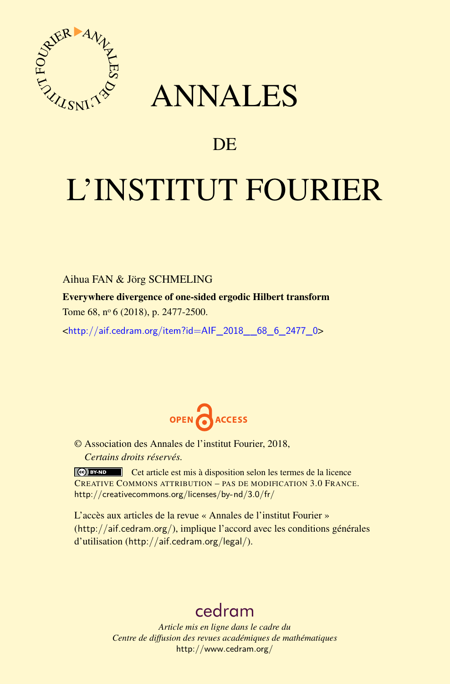

## ANNALES

## **DE**

# L'INSTITUT FOURIER

#### Aihua FAN & Jörg SCHMELING

Everywhere divergence of one-sided ergodic Hilbert transform

Tome 68, nº 6 (2018), p. 2477-2500.

<[http://aif.cedram.org/item?id=AIF\\_2018\\_\\_68\\_6\\_2477\\_0](http://aif.cedram.org/item?id=AIF_2018__68_6_2477_0)>



© Association des Annales de l'institut Fourier, 2018, *Certains droits réservés.*

Cet article est mis à disposition selon les termes de la licence CREATIVE COMMONS ATTRIBUTION – PAS DE MODIFICATION 3.0 FRANCE. <http://creativecommons.org/licenses/by-nd/3.0/fr/>

L'accès aux articles de la revue « Annales de l'institut Fourier » (<http://aif.cedram.org/>), implique l'accord avec les conditions générales d'utilisation (<http://aif.cedram.org/legal/>).

## [cedram](http://www.cedram.org/)

*Article mis en ligne dans le cadre du Centre de diffusion des revues académiques de mathématiques* <http://www.cedram.org/>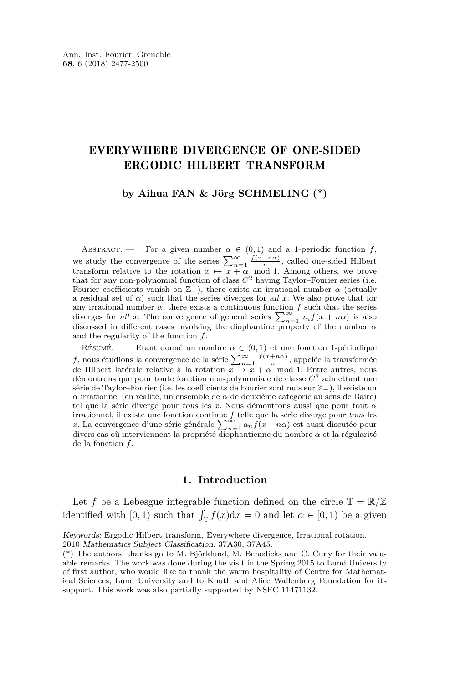#### EVERYWHERE DIVERGENCE OF ONE-SIDED ERGODIC HILBERT TRANSFORM

#### **by Aihua FAN & Jörg SCHMELING (\*)**

ABSTRACT. — For a given number  $\alpha \in (0,1)$  and a 1-periodic function f, we study the convergence of the series  $\sum_{n=1}^{\infty} \frac{f(x+n\alpha)}{n}$ , called one-sided Hilbert transform relative to the rotation  $x \mapsto x + \alpha \mod 1$ . Among others, we prove that for any non-polynomial function of class  $C<sup>2</sup>$  having Taylor–Fourier series (i.e. Fourier coefficients vanish on  $\mathbb{Z}_-$ ), there exists an irrational number  $\alpha$  (actually a residual set of  $\alpha$ ) such that the series diverges for all x. We also prove that for any irrational number  $\alpha$ , there exists a continuous function  $f$  such that the series diverges for all *x*. The convergence of general series  $\sum_{n=1}^{\infty} a_n f(x + n\alpha)$  is also discussed in different cases involving the diophantine property of the number  $\alpha$ and the regularity of the function *f*.

RÉSUMÉ. — Etant donné un nombre  $\alpha \in (0,1)$  et une fonction 1-périodique *f*, nous étudions la convergence de la série  $\sum_{n=1}^{\infty} \frac{f(x+n\alpha)}{n}$ , appelée la transformée de Hilbert latérale relative à la rotation  $x \mapsto x + \alpha \mod 1$ . Entre autres, nous démontrons que pour toute fonction non-polynomiale de classe *C*<sup>2</sup> admettant une série de Taylor–Fourier (i.e. les coefficients de Fourier sont nuls sur Z−), il existe un *α* irrationnel (en réalité, un ensemble de *α* de deuxième catégorie au sens de Baire) tel que la série diverge pour tous les *x*. Nous démontrons aussi que pour tout *α* irrationnel, il existe une fonction continue  $f$  telle que la série diverge pour tous les  $x$ . La convergence d'une série générale  $\sum_{n=1}^{\infty} a_n f(x + n\alpha)$  est aussi discutée pour divers cas où interviennent la propriété d de la fonction *f*.

#### **1. Introduction**

Let f be a Lebesgue integrable function defined on the circle  $\mathbb{T} = \mathbb{R}/\mathbb{Z}$ identified with [0, 1) such that  $\int_{\mathbb{T}} f(x) dx = 0$  and let  $\alpha \in [0, 1)$  be a given

Keywords: Ergodic Hilbert transform, Everywhere divergence, Irrational rotation.

<sup>2010</sup> Mathematics Subject Classification: 37A30, 37A45.

<sup>(\*)</sup> The authors' thanks go to M. Björklund, M. Benedicks and C. Cuny for their valuable remarks. The work was done during the visit in the Spring 2015 to Lund University of first author, who would like to thank the warm hospitality of Centre for Mathematical Sciences, Lund University and to Knuth and Alice Wallenberg Foundation for its support. This work was also partially supported by NSFC 11471132.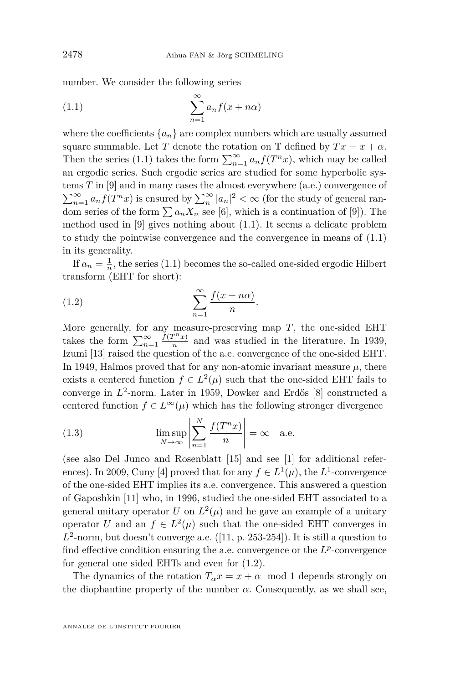number. We consider the following series

<span id="page-2-0"></span>(1.1) 
$$
\sum_{n=1}^{\infty} a_n f(x + n\alpha)
$$

where the coefficients  ${a_n}$  are complex numbers which are usually assumed square summable. Let *T* denote the rotation on  $\mathbb{T}$  defined by  $Tx = x + \alpha$ . Then the series [\(1.1\)](#page-2-0) takes the form  $\sum_{n=1}^{\infty} a_n f(T^n x)$ , which may be called an ergodic series. Such ergodic series are studied for some hyperbolic systems *T* in [\[9\]](#page-24-0) and in many cases the almost everywhere (a.e.) convergence of  $\sum_{n=1}^{\infty} a_n f(T^n x)$  is ensured by  $\sum_{n=1}^{\infty} |a_n|^2 < \infty$  (for the study of general random series of the form  $\sum a_n X_n$  see [\[6\]](#page-24-1), which is a continuation of [\[9\]](#page-24-0)). The method used in [\[9\]](#page-24-0) gives nothing about [\(1.1\)](#page-2-0). It seems a delicate problem to study the pointwise convergence and the convergence in means of  $(1.1)$ in its generality.

If  $a_n = \frac{1}{n}$ , the series [\(1.1\)](#page-2-0) becomes the so-called one-sided ergodic Hilbert transform (EHT for short):

<span id="page-2-1"></span>(1.2) 
$$
\sum_{n=1}^{\infty} \frac{f(x+n\alpha)}{n}.
$$

More generally, for any measure-preserving map  $T$ , the one-sided EHT takes the form  $\sum_{n=1}^{\infty} \frac{f(T^n x)}{n}$  $\frac{n}{n}$  and was studied in the literature. In 1939, Izumi [\[13\]](#page-24-2) raised the question of the a.e. convergence of the one-sided EHT. In 1949, Halmos proved that for any non-atomic invariant measure  $\mu$ , there exists a centered function  $f \in L^2(\mu)$  such that the one-sided EHT fails to converge in *L* 2 -norm. Later in 1959, Dowker and Erdős [\[8\]](#page-24-3) constructed a centered function  $f \in L^{\infty}(\mu)$  which has the following stronger divergence

<span id="page-2-2"></span>(1.3) 
$$
\limsup_{N \to \infty} \left| \sum_{n=1}^{N} \frac{f(T^n x)}{n} \right| = \infty \quad \text{a.e.}
$$

(see also Del Junco and Rosenblatt [\[15\]](#page-24-4) and see [\[1\]](#page-23-0) for additional refer-ences). In 2009, Cuny [\[4\]](#page-24-5) proved that for any  $f \in L^1(\mu)$ , the  $L^1$ -convergence of the one-sided EHT implies its a.e. convergence. This answered a question of Gaposhkin [\[11\]](#page-24-6) who, in 1996, studied the one-sided EHT associated to a general unitary operator  $U$  on  $L^2(\mu)$  and he gave an example of a unitary operator *U* and an  $f \in L^2(\mu)$  such that the one-sided EHT converges in  $L^2$ -norm, but doesn't converge a.e.  $([11, p. 253-254])$  $([11, p. 253-254])$  $([11, p. 253-254])$ . It is still a question to find effective condition ensuring the a.e. convergence or the  $L^p$ -convergence for general one sided EHTs and even for [\(1.2\)](#page-2-1).

The dynamics of the rotation  $T_\alpha x = x + \alpha \mod 1$  depends strongly on the diophantine property of the number  $\alpha$ . Consequently, as we shall see,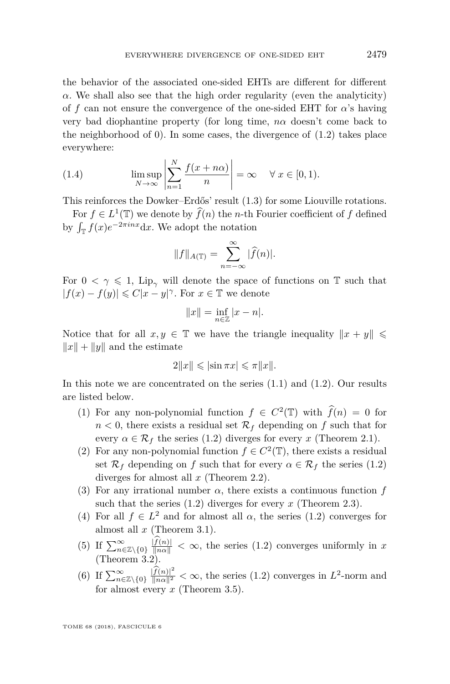the behavior of the associated one-sided EHTs are different for different *α*. We shall also see that the high order regularity (even the analyticity) of *f* can not ensure the convergence of the one-sided EHT for *α*'s having very bad diophantine property (for long time, *nα* doesn't come back to the neighborhood of  $(0)$ . In some cases, the divergence of  $(1.2)$  takes place everywhere:

(1.4) 
$$
\limsup_{N \to \infty} \left| \sum_{n=1}^{N} \frac{f(x + n\alpha)}{n} \right| = \infty \quad \forall x \in [0, 1).
$$

This reinforces the Dowker–Erdős' result [\(1.3\)](#page-2-2) for some Liouville rotations.

For  $f \in L^1(\mathbb{T})$  we denote by  $\widehat{f}(n)$  the *n*-th Fourier coefficient of *f* defined by  $\int_{\mathbb{T}} f(x) e^{-2\pi inx} dx$ . We adopt the notation

$$
||f||_{A(\mathbb{T})} = \sum_{n=-\infty}^{\infty} |\widehat{f}(n)|.
$$

For  $0 < \gamma \leq 1$ , Lip<sub> $\gamma$ </sub> will denote the space of functions on T such that  $|f(x) - f(y)| \leq C|x - y|^\gamma$ . For  $x \in \mathbb{T}$  we denote

$$
||x|| = \inf_{n \in \mathbb{Z}} |x - n|.
$$

Notice that for all  $x, y \in \mathbb{T}$  we have the triangle inequality  $||x + y|| \leq$  $||x|| + ||y||$  and the estimate

$$
2||x|| \leqslant |\sin \pi x| \leqslant \pi ||x||.
$$

In this note we are concentrated on the series [\(1.1\)](#page-2-0) and [\(1.2\)](#page-2-1). Our results are listed below.

- (1) For any non-polynomial function  $f \in C^2(\mathbb{T})$  with  $\hat{f}(n) = 0$  for  $n < 0$ , there exists a residual set  $\mathcal{R}_f$  depending on f such that for every  $\alpha \in \mathcal{R}_f$  the series [\(1.2\)](#page-2-1) diverges for every *x* (Theorem [2.1\)](#page-5-0).
- (2) For any non-polynomial function  $f \in C^2(\mathbb{T})$ , there exists a residual set  $\mathcal{R}_f$  depending on *f* such that for every  $\alpha \in \mathcal{R}_f$  the series [\(1.2\)](#page-2-1) diverges for almost all *x* (Theorem [2.2\)](#page-5-1).
- (3) For any irrational number  $\alpha$ , there exists a continuous function  $f$ such that the series [\(1.2\)](#page-2-1) diverges for every *x* (Theorem [2.3\)](#page-6-0).
- (4) For all  $f \in L^2$  and for almost all  $\alpha$ , the series [\(1.2\)](#page-2-1) converges for almost all *x* (Theorem [3.1\)](#page-16-0).
- (5) If  $\sum_{n\in\mathbb{Z}\setminus\{0\}}^{\infty} \frac{|f(n)|}{\|n\alpha\|} < \infty$ , the series [\(1.2\)](#page-2-1) converges uniformly in *x* (Theorem [3.2\)](#page-17-0).
- (6) If  $\sum_{n\in\mathbb{Z}\setminus\{0\}}^{\infty} \frac{|f(n)|^2}{\|n\alpha\|^2} < \infty$ , the series [\(1.2\)](#page-2-1) converges in  $L^2$ -norm and for almost every *x* (Theorem [3.5\)](#page-18-0).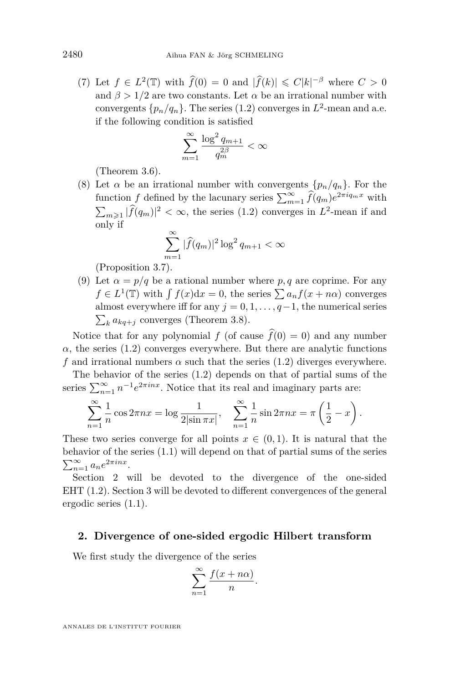(7) Let  $f \in L^2(\mathbb{T})$  with  $\hat{f}(0) = 0$  and  $|\hat{f}(k)| \leq C|k|^{-\beta}$  where  $C > 0$ and  $\beta > 1/2$  are two constants. Let  $\alpha$  be an irrational number with convergents  $\{p_n/q_n\}$ . The series [\(1.2\)](#page-2-1) converges in  $L^2$ -mean and a.e. if the following condition is satisfied

$$
\sum_{m=1}^{\infty} \frac{\log^2 q_{m+1}}{q_m^{2\beta}} < \infty
$$

(Theorem [3.6\)](#page-19-0).

(8) Let  $\alpha$  be an irrational number with convergents  $\{p_n/q_n\}$ . For the function *f* defined by the lacunary series  $\sum_{m=1}^{\infty} \hat{f}(q_m) e^{2\pi i q_m x}$  with  $\sum_{m\geqslant 1} |f(q_m)|^2 < \infty$ , the series [\(1.2\)](#page-2-1) converges in *L*<sup>2</sup>-mean if and only if

$$
\sum_{m=1}^{\infty} |\widehat{f}(q_m)|^2 \log^2 q_{m+1} < \infty
$$

(Proposition [3.7\)](#page-22-0).

(9) Let  $\alpha = p/q$  be a rational number where p, q are coprime. For any  $f \in L^1(\mathbb{T})$  with  $\int f(x)dx = 0$ , the series  $\sum a_n f(x + n\alpha)$  converges almost everywhere iff for any  $j = 0, 1, \ldots, q-1$ , the numerical series  $\sum_{k} a_{kq+j}$  converges (Theorem [3.8\)](#page-23-1).

Notice that for any polynomial *f* (of cause  $\hat{f}(0) = 0$ ) and any number  $\alpha$ , the series [\(1.2\)](#page-2-1) converges everywhere. But there are analytic functions *f* and irrational numbers  $\alpha$  such that the series [\(1.2\)](#page-2-1) diverges everywhere.

The behavior of the series [\(1.2\)](#page-2-1) depends on that of partial sums of the series  $\sum_{n=1}^{\infty} n^{-1} e^{2\pi inx}$ . Notice that its real and imaginary parts are:

$$
\sum_{n=1}^{\infty} \frac{1}{n} \cos 2\pi nx = \log \frac{1}{2|\sin \pi x|}, \quad \sum_{n=1}^{\infty} \frac{1}{n} \sin 2\pi nx = \pi \left(\frac{1}{2} - x\right)
$$

*.*

These two series converge for all points  $x \in (0,1)$ . It is natural that the behavior of the series [\(1.1\)](#page-2-0) will depend on that of partial sums of the series  $\sum_{n=1}^{\infty} a_n e^{2\pi i n x}$ .

Section [2](#page-4-0) will be devoted to the divergence of the one-sided EHT [\(1.2\)](#page-2-1). Section [3](#page-15-0) will be devoted to different convergences of the general ergodic series [\(1.1\)](#page-2-0).

#### <span id="page-4-0"></span>**2. Divergence of one-sided ergodic Hilbert transform**

We first study the divergence of the series

$$
\sum_{n=1}^{\infty} \frac{f(x+n\alpha)}{n}.
$$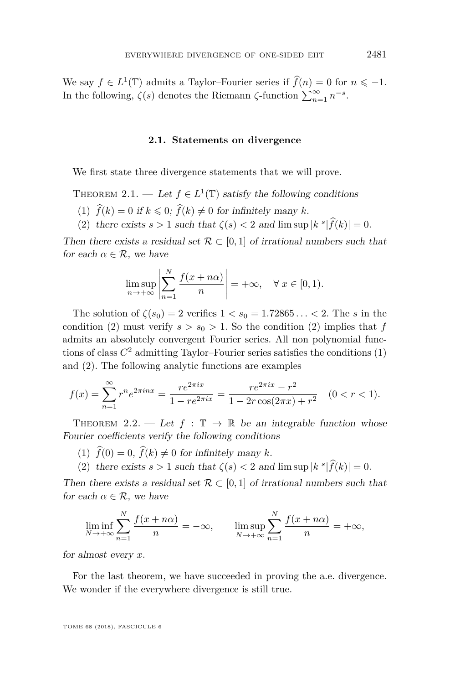We say  $f \in L^1(\mathbb{T})$  admits a Taylor–Fourier series if  $\widehat{f}(n) = 0$  for  $n \le -1$ . In the following,  $\zeta(s)$  denotes the Riemann  $\zeta$ -function  $\sum_{n=1}^{\infty} n^{-s}$ .

#### **2.1. Statements on divergence**

We first state three divergence statements that we will prove.

<span id="page-5-0"></span>THEOREM 2.1. — Let  $f \in L^1(\mathbb{T})$  satisfy the following conditions

- <span id="page-5-3"></span>(1)  $\hat{f}(k) = 0$  if  $k \leq 0$ ;  $\hat{f}(k) \neq 0$  for infinitely many k.
- <span id="page-5-2"></span>(2) there exists  $s > 1$  such that  $\zeta(s) < 2$  and  $\limsup |k|^s |f(k)| = 0$ .

Then there exists a residual set  $\mathcal{R} \subset [0,1]$  of irrational numbers such that for each  $\alpha \in \mathcal{R}$ , we have

$$
\limsup_{n \to +\infty} \left| \sum_{n=1}^{N} \frac{f(x + n\alpha)}{n} \right| = +\infty, \quad \forall x \in [0, 1).
$$

The solution of  $\zeta(s_0) = 2$  verifies  $1 < s_0 = 1.72865... < 2$ . The *s* in the condition [\(2\)](#page-5-2) must verify  $s > s_0 > 1$ . So the condition (2) implies that *f* admits an absolutely convergent Fourier series. All non polynomial functions of class *C* <sup>2</sup> admitting Taylor–Fourier series satisfies the conditions [\(1\)](#page-5-3) and [\(2\)](#page-5-2). The following analytic functions are examples

$$
f(x) = \sum_{n=1}^{\infty} r^n e^{2\pi i n x} = \frac{r e^{2\pi i x}}{1 - r e^{2\pi i x}} = \frac{r e^{2\pi i x} - r^2}{1 - 2r \cos(2\pi x) + r^2} \quad (0 < r < 1).
$$

<span id="page-5-1"></span>THEOREM 2.2. — Let  $f : \mathbb{T} \to \mathbb{R}$  be an integrable function whose Fourier coefficients verify the following conditions

- (1)  $\hat{f}(0) = 0$ ,  $\hat{f}(k) \neq 0$  for infinitely many *k*.
- (2) there exists  $s > 1$  such that  $\zeta(s) < 2$  and  $\limsup |k|^s |\widehat{f}(k)| = 0$ .

Then there exists a residual set  $\mathcal{R} \subset [0,1]$  of irrational numbers such that for each  $\alpha \in \mathcal{R}$ , we have

$$
\liminf_{N \to +\infty} \sum_{n=1}^{N} \frac{f(x + n\alpha)}{n} = -\infty, \qquad \limsup_{N \to +\infty} \sum_{n=1}^{N} \frac{f(x + n\alpha)}{n} = +\infty,
$$

for almost every *x*.

For the last theorem, we have succeeded in proving the a.e. divergence. We wonder if the everywhere divergence is still true.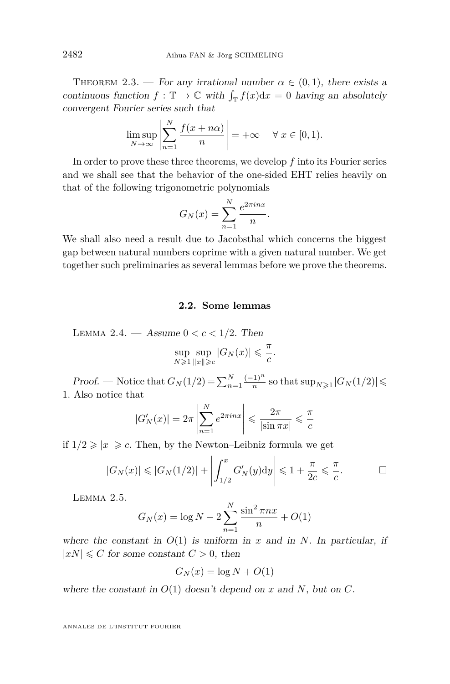<span id="page-6-0"></span>THEOREM 2.3. — For any irrational number  $\alpha \in (0,1)$ , there exists a continuous function  $f : \mathbb{T} \to \mathbb{C}$  with  $\int_{\mathbb{T}} f(x) dx = 0$  having an absolutely convergent Fourier series such that

$$
\limsup_{N \to \infty} \left| \sum_{n=1}^{N} \frac{f(x + n\alpha)}{n} \right| = +\infty \quad \forall x \in [0, 1).
$$

In order to prove these three theorems, we develop *f* into its Fourier series and we shall see that the behavior of the one-sided EHT relies heavily on that of the following trigonometric polynomials

$$
G_N(x) = \sum_{n=1}^N \frac{e^{2\pi i n x}}{n}.
$$

We shall also need a result due to Jacobsthal which concerns the biggest gap between natural numbers coprime with a given natural number. We get together such preliminaries as several lemmas before we prove the theorems.

#### **2.2. Some lemmas**

<span id="page-6-1"></span>LEMMA 2.4. — Assume  $0 < c < 1/2$ . Then

$$
\sup_{N\geqslant 1}\sup_{\|x\|\geqslant c}|G_N(x)|\leqslant \frac{\pi}{c}
$$

*.*

*Proof.* — Notice that  $G_N(1/2) = \sum_{n=1}^N \frac{(-1)^n}{n}$  $\frac{(1)^n}{n}$  so that  $\sup_{N\geq 1} |G_N(1/2)| \leq$ 1. Also notice that

$$
|G'_N(x)| = 2\pi \left| \sum_{n=1}^N e^{2\pi i n x} \right| \leq \frac{2\pi}{|\sin \pi x|} \leq \frac{\pi}{c}
$$

if  $1/2 \geqslant |x| \geqslant c$ . Then, by the Newton–Leibniz formula we get

$$
|G_N(x)| \leq |G_N(1/2)| + \left| \int_{1/2}^x G'_N(y) \mathrm{d}y \right| \leq 1 + \frac{\pi}{2c} \leq \frac{\pi}{c}.
$$

<span id="page-6-2"></span>Lemma 2.5.

$$
G_N(x) = \log N - 2\sum_{n=1}^{N} \frac{\sin^2 \pi nx}{n} + O(1)
$$

*N*

where the constant in  $O(1)$  is uniform in *x* and in *N*. In particular, if  $|xN| \leq C$  for some constant  $C > 0$ , then

$$
G_N(x) = \log N + O(1)
$$

where the constant in  $O(1)$  doesn't depend on *x* and *N*, but on *C*.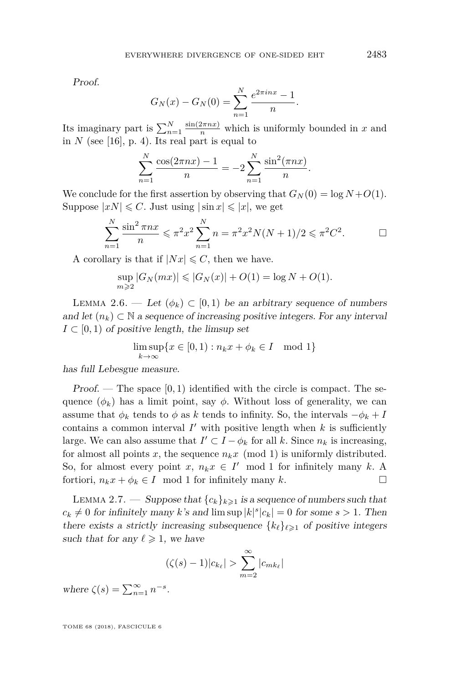Proof.

$$
G_N(x) - G_N(0) = \sum_{n=1}^N \frac{e^{2\pi i n x} - 1}{n}.
$$

Its imaginary part is  $\sum_{n=1}^{N} \frac{\sin(2\pi nx)}{n}$  which is uniformly bounded in *x* and in  $N$  (see [\[16\]](#page-24-7), p. 4). Its real part is equal to

$$
\sum_{n=1}^{N} \frac{\cos(2\pi nx) - 1}{n} = -2 \sum_{n=1}^{N} \frac{\sin^2(\pi nx)}{n}.
$$

We conclude for the first assertion by observing that  $G_N(0) = \log N + O(1)$ . Suppose  $|xN| \leq C$ . Just using  $|\sin x| \leq |x|$ , we get

$$
\sum_{n=1}^{N} \frac{\sin^2 \pi nx}{n} \leq \pi^2 x^2 \sum_{n=1}^{N} n = \pi^2 x^2 N(N+1)/2 \leq \pi^2 C^2.
$$

A corollary is that if  $|Nx| \leq C$ , then we have.

$$
\sup_{m\geq 2} |G_N(mx)| \leq |G_N(x)| + O(1) = \log N + O(1).
$$

<span id="page-7-1"></span>LEMMA 2.6. — Let  $(\phi_k) \subset [0,1)$  be an arbitrary sequence of numbers and let  $(n_k) \subset \mathbb{N}$  a sequence of increasing positive integers. For any interval  $I \subset [0, 1)$  of positive length, the limsup set

$$
\limsup_{k \to \infty} \{ x \in [0, 1) : n_k x + \phi_k \in I \mod 1 \}
$$

has full Lebesgue measure.

Proof. — The space [0*,* 1) identified with the circle is compact. The sequence  $(\phi_k)$  has a limit point, say  $\phi$ . Without loss of generality, we can assume that  $\phi_k$  tends to  $\phi$  as  $k$  tends to infinity. So, the intervals  $-\phi_k + I$ contains a common interval  $I'$  with positive length when  $k$  is sufficiently large. We can also assume that  $I' \subset I - \phi_k$  for all *k*. Since  $n_k$  is increasing, for almost all points x, the sequence  $n_k x \pmod{1}$  is uniformly distributed. So, for almost every point  $x, n_k x \in I'$  mod 1 for infinitely many  $k$ . A fortiori,  $n_k x + \phi_k \in I$  mod 1 for infinitely many *k*.

<span id="page-7-0"></span>LEMMA 2.7. — Suppose that  ${c_k}_{k\geqslant1}$  is a sequence of numbers such that  $c_k \neq 0$  for infinitely many *k*'s and lim sup  $|k|^s |c_k| = 0$  for some  $s > 1$ . Then there exists a strictly increasing subsequence  $\{k_\ell\}_{\ell \geq 1}$  of positive integers such that for any  $\ell \geq 1$ , we have

$$
(\zeta(s)-1)|c_{k_{\ell}}| > \sum_{m=2}^{\infty} |c_{mk_{\ell}}|
$$

where  $\zeta(s) = \sum_{n=1}^{\infty} n^{-s}$ .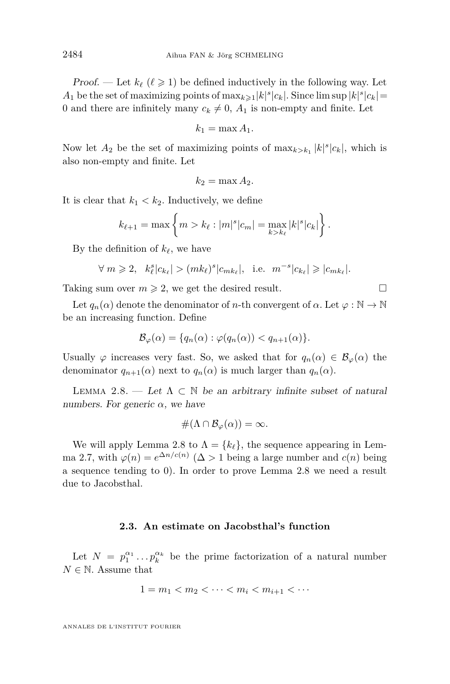Proof. — Let  $k_\ell$  ( $\ell \geq 1$ ) be defined inductively in the following way. Let *A*<sub>1</sub> be the set of maximizing points of  $\max_{k \geq 1} |k|^s |c_k|$ . Since  $\limsup |k|^s |c_k|$ 0 and there are infinitely many  $c_k \neq 0$ ,  $A_1$  is non-empty and finite. Let

$$
k_1 = \max A_1.
$$

Now let  $A_2$  be the set of maximizing points of  $\max_{k > k_1} |k|^s |c_k|$ , which is also non-empty and finite. Let

$$
k_2 = \max A_2.
$$

It is clear that  $k_1 < k_2$ . Inductively, we define

$$
k_{\ell+1} = \max \left\{ m > k_{\ell} : |m|^s |c_m| = \max_{k > k_{\ell}} |k|^s |c_k| \right\}.
$$

By the definition of  $k_{\ell}$ , we have

$$
\forall m\geqslant 2, \ \ k_{\ell}^{s}\vert c_{k_{\ell}}\vert>(mk_{\ell})^{s}\vert c_{mk_{\ell}}\vert, \ \ \text{i.e.} \ \ m^{-s}\vert c_{k_{\ell}}\vert\geqslant\vert c_{mk_{\ell}}\vert.
$$

Taking sum over  $m \geq 2$ , we get the desired result.

Let  $q_n(\alpha)$  denote the denominator of *n*-th convergent of  $\alpha$ . Let  $\varphi : \mathbb{N} \to \mathbb{N}$ be an increasing function. Define

$$
\mathcal{B}_{\varphi}(\alpha) = \{q_n(\alpha) : \varphi(q_n(\alpha)) < q_{n+1}(\alpha) \}.
$$

Usually  $\varphi$  increases very fast. So, we asked that for  $q_n(\alpha) \in \mathcal{B}_{\varphi}(\alpha)$  the denominator  $q_{n+1}(\alpha)$  next to  $q_n(\alpha)$  is much larger than  $q_n(\alpha)$ .

<span id="page-8-0"></span>LEMMA 2.8. — Let  $\Lambda \subset \mathbb{N}$  be an arbitrary infinite subset of natural numbers. For generic  $\alpha$ , we have

$$
\#(\Lambda \cap \mathcal{B}_{\varphi}(\alpha)) = \infty.
$$

We will apply Lemma [2.8](#page-8-0) to  $\Lambda = \{k_\ell\}$ , the sequence appearing in Lem-ma [2.7,](#page-7-0) with  $\varphi(n) = e^{\Delta n/c(n)}$  ( $\Delta > 1$  being a large number and  $c(n)$  being a sequence tending to 0). In order to prove Lemma [2.8](#page-8-0) we need a result due to Jacobsthal.

#### **2.3. An estimate on Jacobsthal's function**

Let  $N = p_1^{\alpha_1} \dots p_k^{\alpha_k}$  be the prime factorization of a natural number  $N \in \mathbb{N}$ . Assume that

$$
1=m_1
$$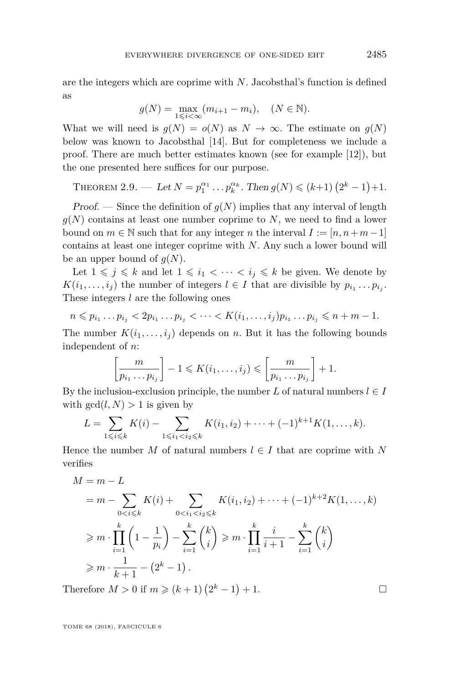are the integers which are coprime with *N*. Jacobsthal's function is defined as

$$
g(N) = \max_{1 \leq i < \infty} (m_{i+1} - m_i), \quad (N \in \mathbb{N}).
$$

What we will need is  $g(N) = o(N)$  as  $N \to \infty$ . The estimate on  $g(N)$ below was known to Jacobsthal [\[14\]](#page-24-8). But for completeness we include a proof. There are much better estimates known (see for example [\[12\]](#page-24-9)), but the one presented here suffices for our purpose.

<span id="page-9-0"></span>THEOREM 2.9. — Let  $N = p_1^{\alpha_1} \dots p_k^{\alpha_k}$ . Then  $g(N) \leq (k+1) (2^k - 1) + 1$ .

Proof. — Since the definition of  $g(N)$  implies that any interval of length  $g(N)$  contains at least one number coprime to *N*, we need to find a lower bound on  $m \in \mathbb{N}$  such that for any integer *n* the interval  $I := [n, n+m-1]$ contains at least one integer coprime with *N*. Any such a lower bound will be an upper bound of  $g(N)$ .

Let  $1 \leq j \leq k$  and let  $1 \leq i_1 < \cdots < i_j \leq k$  be given. We denote by  $K(i_1, \ldots, i_j)$  the number of integers  $l \in I$  that are divisible by  $p_{i_1} \ldots p_{i_j}$ . These integers *l* are the following ones

$$
n \leq p_{i_1} \dots p_{i_j} < 2p_{i_1} \dots p_{i_j} < \dots < K(i_1, \dots, i_j)p_{i_1} \dots p_{i_j} \leq n + m - 1.
$$

The number  $K(i_1, \ldots, i_j)$  depends on *n*. But it has the following bounds independent of *n*:

$$
\left[\frac{m}{p_{i_1}\ldots p_{i_j}}\right] - 1 \leqslant K(i_1,\ldots,i_j) \leqslant \left[\frac{m}{p_{i_1}\ldots p_{i_j}}\right] + 1.
$$

By the inclusion-exclusion principle, the number  $L$  of natural numbers  $l \in I$ with  $gcd(l, N) > 1$  is given by

$$
L = \sum_{1 \leq i \leq k} K(i) - \sum_{1 \leq i_1 < i_2 \leq k} K(i_1, i_2) + \dots + (-1)^{k+1} K(1, \dots, k).
$$

Hence the number *M* of natural numbers  $l \in I$  that are coprime with *N* verifies

$$
M = m - L
$$
  
=  $m - \sum_{0 < i \le k} K(i) + \sum_{0 < i_1 < i_2 \le k} K(i_1, i_2) + \dots + (-1)^{k+2} K(1, \dots, k)$   

$$
\ge m \cdot \prod_{i=1}^k \left(1 - \frac{1}{p_i}\right) - \sum_{i=1}^k {k \choose i} \ge m \cdot \prod_{i=1}^k \frac{i}{i+1} - \sum_{i=1}^k {k \choose i}
$$
  

$$
\ge m \cdot \frac{1}{k+1} - (2^k - 1).
$$

Therefore  $M > 0$  if  $m \ge (k + 1)(2<sup>k</sup> − 1) + 1$ .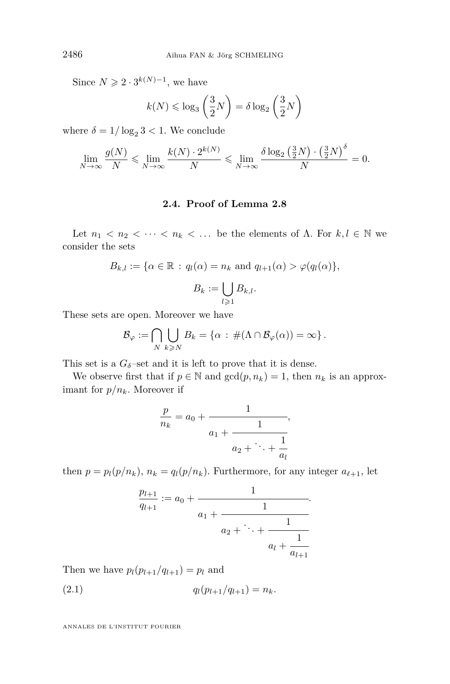Since  $N \geqslant 2 \cdot 3^{k(N)-1}$ , we have

$$
k(N) \leq \log_3\left(\frac{3}{2}N\right) = \delta \log_2\left(\frac{3}{2}N\right)
$$

where  $\delta = 1/\log_2 3 < 1$ . We conclude

$$
\lim_{N \to \infty} \frac{g(N)}{N} \leqslant \lim_{N \to \infty} \frac{k(N) \cdot 2^{k(N)}}{N} \leqslant \lim_{N \to \infty} \frac{\delta \log_2 \left(\frac{3}{2}N\right) \cdot \left(\frac{3}{2}N\right)^{\delta}}{N} = 0.
$$

#### **2.4. Proof of Lemma [2.8](#page-8-0)**

Let  $n_1 < n_2 < \cdots < n_k < \dots$  be the elements of  $\Lambda$ . For  $k, l \in \mathbb{N}$  we consider the sets

$$
B_{k,l} := \{ \alpha \in \mathbb{R} : q_l(\alpha) = n_k \text{ and } q_{l+1}(\alpha) > \varphi(q_l(\alpha)),
$$
  

$$
B_k := \bigcup_{l \geqslant 1} B_{k,l}.
$$

These sets are open. Moreover we have

$$
\mathcal{B}_{\varphi} := \bigcap_{N} \bigcup_{k \geqslant N} B_k = \{ \alpha \, : \, \#(\Lambda \cap \mathcal{B}_{\varphi}(\alpha)) = \infty \} \, .
$$

This set is a  $G_{\delta}$ -set and it is left to prove that it is dense.

We observe first that if  $p \in \mathbb{N}$  and  $gcd(p, n_k) = 1$ , then  $n_k$  is an approximant for  $p/n_k$ . Moreover if

$$
\frac{p}{n_k} = a_0 + \cfrac{1}{a_1 + \cfrac{1}{a_2 + \ddots + \cfrac{1}{a_l}}},
$$

then  $p = p_l(p/n_k)$ ,  $n_k = q_l(p/n_k)$ . Furthermore, for any integer  $a_{\ell+1}$ , let

<span id="page-10-0"></span>
$$
\frac{p_{l+1}}{q_{l+1}} := a_0 + \cfrac{1}{a_1 + \cfrac{1}{a_2 + \ddots + \cfrac{1}{a_l + \cfrac{1}{a_{l+1}}}}}.
$$

Then we have  $p_l(p_{l+1}/q_{l+1}) = p_l$  and

$$
(2.1) \t\t q_l(p_{l+1}/q_{l+1}) = n_k.
$$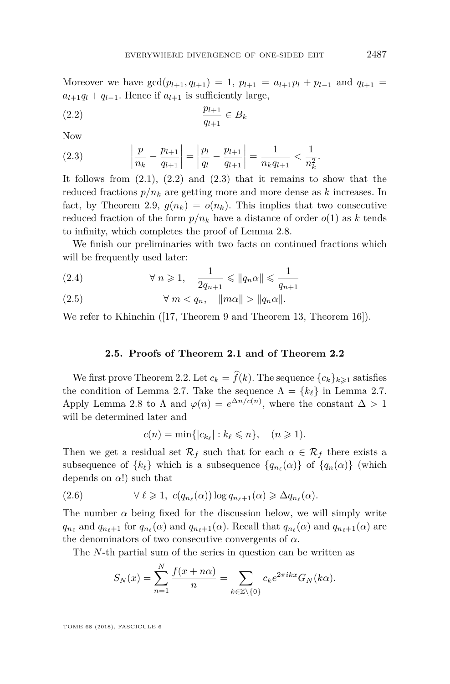Moreover we have  $gcd(p_{l+1}, q_{l+1}) = 1$ ,  $p_{l+1} = a_{l+1}p_l + p_{l-1}$  and  $q_{l+1} =$  $a_{l+1}q_l + q_{l-1}$ . Hence if  $a_{l+1}$  is sufficiently large,

<span id="page-11-0"></span>
$$
\frac{p_{l+1}}{q_{l+1}} \in B_k
$$

Now

<span id="page-11-1"></span>(2.3) 
$$
\left| \frac{p}{n_k} - \frac{p_{l+1}}{q_{l+1}} \right| = \left| \frac{p_l}{q_l} - \frac{p_{l+1}}{q_{l+1}} \right| = \frac{1}{n_k q_{l+1}} < \frac{1}{n_k^2}.
$$

It follows from  $(2.1)$ ,  $(2.2)$  and  $(2.3)$  that it remains to show that the reduced fractions  $p/n_k$  are getting more and more dense as k increases. In fact, by Theorem [2.9,](#page-9-0)  $g(n_k) = o(n_k)$ . This implies that two consecutive reduced fraction of the form  $p/n_k$  have a distance of order  $o(1)$  as k tends to infinity, which completes the proof of Lemma [2.8.](#page-8-0)

We finish our preliminaries with two facts on continued fractions which will be frequently used later:

(2.4) 
$$
\forall n \geqslant 1, \quad \frac{1}{2q_{n+1}} \leqslant \|q_n \alpha\| \leqslant \frac{1}{q_{n+1}}
$$

$$
(2.5) \t\t\t \forall m < q_n, \t ||m\alpha|| > ||q_n\alpha||.
$$

We refer to Khinchin ([\[17,](#page-24-10) Theorem 9 and Theorem 13, Theorem 16]).

#### **2.5. Proofs of Theorem [2.1](#page-5-0) and of Theorem [2.2](#page-5-1)**

We first prove Theorem [2.2.](#page-5-1) Let  $c_k = \hat{f}(k)$ . The sequence  ${c_k}_{k \geq 1}$  satisfies the condition of Lemma [2.7.](#page-7-0) Take the sequence  $\Lambda = \{k_\ell\}$  in Lemma 2.7. Apply Lemma [2.8](#page-8-0) to  $\Lambda$  and  $\varphi(n) = e^{\Delta n/c(n)}$ , where the constant  $\Delta > 1$ will be determined later and

$$
c(n) = \min\{|c_{k_\ell}| : k_\ell \leqslant n\}, \quad (n \geqslant 1).
$$

Then we get a residual set  $\mathcal{R}_f$  such that for each  $\alpha \in \mathcal{R}_f$  there exists a subsequence of  $\{k_\ell\}$  which is a subsequence  $\{q_{n_\ell}(\alpha)\}\;$  of  $\{q_n(\alpha)\}\;$  (which depends on *α*!) such that

(2.6) 
$$
\forall \ell \geq 1, \ c(q_{n_{\ell}}(\alpha)) \log q_{n_{\ell}+1}(\alpha) \geq \Delta q_{n_{\ell}}(\alpha).
$$

The number  $\alpha$  being fixed for the discussion below, we will simply write  $q_{n_{\ell}}$  and  $q_{n_{\ell}+1}$  for  $q_{n_{\ell}}(\alpha)$  and  $q_{n_{\ell}+1}(\alpha)$ . Recall that  $q_{n_{\ell}}(\alpha)$  and  $q_{n_{\ell}+1}(\alpha)$  are the denominators of two consecutive convergents of *α*.

The *N*-th partial sum of the series in question can be written as

$$
S_N(x) = \sum_{n=1}^N \frac{f(x+n\alpha)}{n} = \sum_{k \in \mathbb{Z} \setminus \{0\}} c_k e^{2\pi i k x} G_N(k\alpha).
$$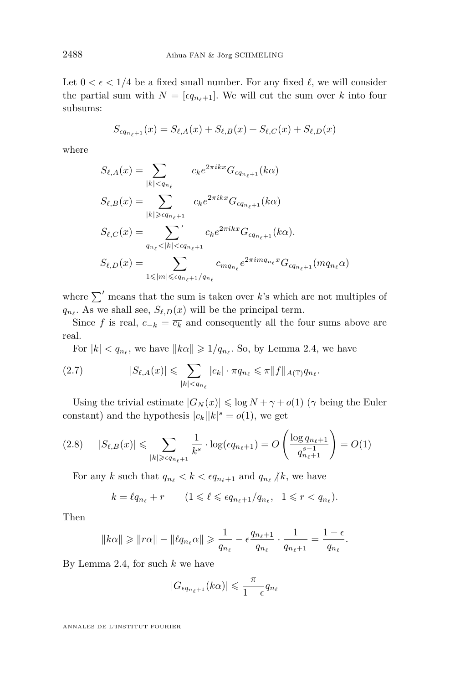Let  $0 < \epsilon < 1/4$  be a fixed small number. For any fixed  $\ell$ , we will consider the partial sum with  $N = \lfloor \epsilon q_{n_{\ell+1}} \rfloor$ . We will cut the sum over k into four subsums:

$$
S_{\epsilon q_{n_{\ell}+1}}(x) = S_{\ell,A}(x) + S_{\ell,B}(x) + S_{\ell,C}(x) + S_{\ell,D}(x)
$$

where

$$
S_{\ell,A}(x) = \sum_{|k| < q_{n_{\ell}}} c_k e^{2\pi i k x} G_{\epsilon q_{n_{\ell}+1}}(k\alpha)
$$
\n
$$
S_{\ell,B}(x) = \sum_{|k| \geq \epsilon q_{n_{\ell}+1}} c_k e^{2\pi i k x} G_{\epsilon q_{n_{\ell}+1}}(k\alpha)
$$
\n
$$
S_{\ell,C}(x) = \sum_{q_{n_{\ell}} < |k| < \epsilon q_{n_{\ell}+1}} c_k e^{2\pi i k x} G_{\epsilon q_{n_{\ell}+1}}(k\alpha).
$$
\n
$$
S_{\ell,D}(x) = \sum_{1 \leq |m| \leq \epsilon q_{n_{\ell}+1}/q_{n_{\ell}}} c_{mq_{n_{\ell}}} e^{2\pi i m q_{n_{\ell}} x} G_{\epsilon q_{n_{\ell}+1}}(mq_{n_{\ell}}\alpha)
$$

where  $\sum'$  means that the sum is taken over *k*'s which are not multiples of  $q_{n_{\ell}}$ . As we shall see,  $S_{\ell,D}(x)$  will be the principal term.

Since *f* is real,  $c_{-k} = \overline{c_k}$  and consequently all the four sums above are real.

<span id="page-12-0"></span>For  $|k| < q_{n_{\ell}}$ , we have  $||k\alpha|| \geq 1/q_{n_{\ell}}$ . So, by Lemma [2.4,](#page-6-1) we have

(2.7) 
$$
|S_{\ell,A}(x)| \leq \sum_{|k| < q_{n_\ell}} |c_k| \cdot \pi q_{n_\ell} \leq \pi \|f\|_{A(\mathbb{T})} q_{n_\ell}.
$$

Using the trivial estimate  $|G_N(x)| \leq \log N + \gamma + o(1)$  ( $\gamma$  being the Euler constant) and the hypothesis  $|c_k||k|^s = o(1)$ , we get

<span id="page-12-1"></span>
$$
(2.8) \qquad |S_{\ell,B}(x)| \leq \sum_{|k| \geq \epsilon q_{n_{\ell}+1}} \frac{1}{k^s} \cdot \log(\epsilon q_{n_{\ell}+1}) = O\left(\frac{\log q_{n_{\ell}+1}}{q_{n_{\ell}+1}^{s-1}}\right) = O(1)
$$

For any *k* such that  $q_{n_\ell} < k < \epsilon q_{n_\ell+1}$  and  $q_{n_\ell} \nmid k$ , we have

$$
k = \ell q_{n_\ell} + r \qquad (1 \leqslant \ell \leqslant \epsilon q_{n_\ell+1}/q_{n_\ell}, \ \ 1 \leqslant r < q_{n_\ell}).
$$

Then

$$
||k\alpha|| \ge ||r\alpha|| - ||\ell q_{n_{\ell}}\alpha|| \ge \frac{1}{q_{n_{\ell}}} - \epsilon \frac{q_{n_{\ell}+1}}{q_{n_{\ell}}} \cdot \frac{1}{q_{n_{\ell}+1}} = \frac{1-\epsilon}{q_{n_{\ell}}}.
$$

By Lemma [2.4,](#page-6-1) for such *k* we have

$$
|G_{\epsilon q_{n_{\ell}+1}}(k\alpha)| \leqslant \frac{\pi}{1-\epsilon}q_{n_{\ell}}
$$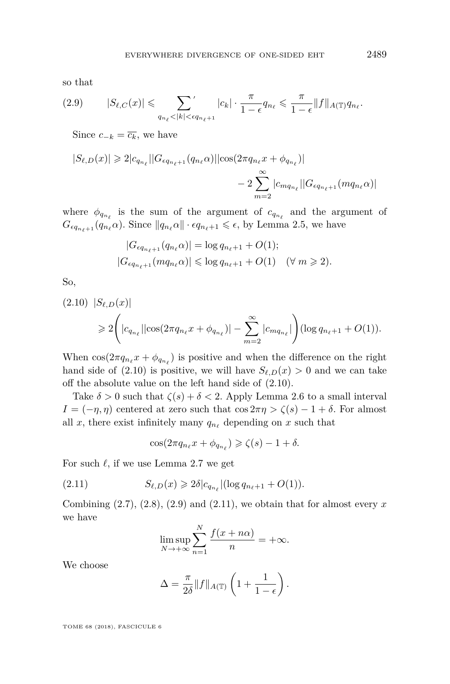so that

<span id="page-13-1"></span>
$$
(2.9) \qquad |S_{\ell,C}(x)| \leqslant \sum_{q_{n_{\ell}}<|k|<\epsilon q_{n_{\ell}+1}}^{\prime} |c_{k}| \cdot \frac{\pi}{1-\epsilon} q_{n_{\ell}} \leqslant \frac{\pi}{1-\epsilon} \|f\|_{A(\mathbb{T})} q_{n_{\ell}}.
$$

Since  $c_{-k} = \overline{c_k}$ , we have

$$
|S_{\ell,D}(x)| \geq 2|c_{q_{n_{\ell}}}| |G_{\epsilon q_{n_{\ell}+1}}(q_{n_{\ell}}\alpha)||\cos(2\pi q_{n_{\ell}}x + \phi_{q_{n_{\ell}}})|
$$
  

$$
- 2\sum_{m=2}^{\infty} |c_{mq_{n_{\ell}}}| |G_{\epsilon q_{n_{\ell}+1}}(mq_{n_{\ell}}\alpha)|
$$

where  $\phi_{q_{n_\ell}}$  is the sum of the argument of  $c_{q_{n_\ell}}$  and the argument of  $G_{\epsilon q_{n_{\ell}+1}}(q_{n_{\ell}}\alpha)$ . Since  $||q_{n_{\ell}}\alpha|| \cdot \epsilon q_{n_{\ell}+1} \leq \epsilon$ , by Lemma [2.5,](#page-6-2) we have

$$
|G_{\epsilon q_{n_{\ell}+1}}(q_{n_{\ell}}\alpha)| = \log q_{n_{\ell}+1} + O(1);
$$
  

$$
|G_{\epsilon q_{n_{\ell}+1}}(mq_{n_{\ell}}\alpha)| \leq \log q_{n_{\ell}+1} + O(1) \quad (\forall m \geq 2).
$$

So,

<span id="page-13-0"></span>
$$
(2.10) |S_{\ell,D}(x)|
$$
  
\n
$$
\geq 2\left(|c_{q_{n_{\ell}}}||\cos(2\pi q_{n_{\ell}}x + \phi_{q_{n_{\ell}}})| - \sum_{m=2}^{\infty} |c_{mq_{n_{\ell}}}|\right) (\log q_{n_{\ell}+1} + O(1)).
$$

When  $\cos(2\pi q_{n_\ell} x + \phi_{q_{n_\ell}})$  is positive and when the difference on the right hand side of [\(2.10\)](#page-13-0) is positive, we will have  $S_{\ell,D}(x) > 0$  and we can take off the absolute value on the left hand side of [\(2.10\)](#page-13-0).

Take  $\delta > 0$  such that  $\zeta(s) + \delta < 2$ . Apply Lemma [2.6](#page-7-1) to a small interval *I* =  $(-\eta, \eta)$  centered at zero such that cos  $2\pi\eta > \zeta(s) - 1 + \delta$ . For almost all *x*, there exist infinitely many  $q_{n_\ell}$  depending on *x* such that

<span id="page-13-2"></span>
$$
\cos(2\pi q_{n_{\ell}}x + \phi_{q_{n_{\ell}}}) \geqslant \zeta(s) - 1 + \delta.
$$

For such  $\ell$ , if we use Lemma [2.7](#page-7-0) we get

(2.11) 
$$
S_{\ell,D}(x) \geq 2\delta |c_{q_{n_{\ell}}}|(\log q_{n_{\ell}+1} + O(1)).
$$

Combining  $(2.7), (2.8), (2.9)$  $(2.7), (2.8), (2.9)$  $(2.7), (2.8), (2.9)$  $(2.7), (2.8), (2.9)$  $(2.7), (2.8), (2.9)$  and  $(2.11),$  $(2.11),$  we obtain that for almost every  $x$ we have

$$
\limsup_{N \to +\infty} \sum_{n=1}^{N} \frac{f(x + n\alpha)}{n} = +\infty.
$$

We choose

$$
\Delta = \frac{\pi}{2\delta} ||f||_{A(\mathbb{T})} \left( 1 + \frac{1}{1 - \epsilon} \right).
$$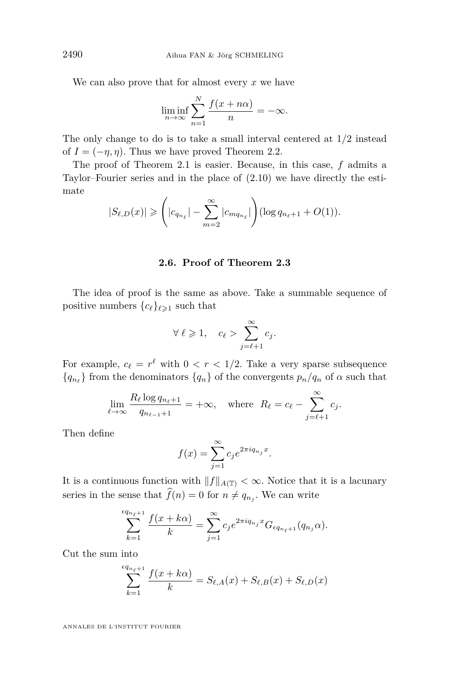We can also prove that for almost every *x* we have

$$
\liminf_{n \to \infty} \sum_{n=1}^{N} \frac{f(x + n\alpha)}{n} = -\infty.
$$

The only change to do is to take a small interval centered at 1*/*2 instead of  $I = (-\eta, \eta)$ . Thus we have proved Theorem [2.2.](#page-5-1)

The proof of Theorem [2.1](#page-5-0) is easier. Because, in this case, *f* admits a Taylor–Fourier series and in the place of [\(2.10\)](#page-13-0) we have directly the estimate

$$
|S_{\ell,D}(x)| \ge \left(|c_{q_{n_{\ell}}}|- \sum_{m=2}^{\infty} |c_{mq_{n_{\ell}}}| \right) (\log q_{n_{\ell}+1} + O(1)).
$$

#### **2.6. Proof of Theorem [2.3](#page-6-0)**

The idea of proof is the same as above. Take a summable sequence of positive numbers  ${c_{\ell}}_{\ell \geq 1}$  such that

$$
\forall \ell \geqslant 1, \quad c_{\ell} > \sum_{j=\ell+1}^{\infty} c_j.
$$

For example,  $c_{\ell} = r^{\ell}$  with  $0 < r < 1/2$ . Take a very sparse subsequence  ${q_{n}}$  from the denominators  ${q_n}$  of the convergents  $p_n/q_n$  of  $\alpha$  such that

$$
\lim_{\ell \to \infty} \frac{R_{\ell} \log q_{n_{\ell}+1}}{q_{n_{\ell-1}+1}} = +\infty, \text{ where } R_{\ell} = c_{\ell} - \sum_{j=\ell+1}^{\infty} c_j.
$$

Then define

$$
f(x) = \sum_{j=1}^{\infty} c_j e^{2\pi i q_{n_j} x}.
$$

It is a continuous function with  $||f||_{A(T)} < \infty$ . Notice that it is a lacunary series in the sense that  $f(n) = 0$  for  $n \neq q_{n_j}$ . We can write

$$
\sum_{k=1}^{\lfloor q_{n_{\ell}+1} \rfloor} \frac{f(x+k\alpha)}{k} = \sum_{j=1}^{\infty} c_j e^{2\pi i q_{n_j} x} G_{\epsilon q_{n_{\ell}+1}}(q_{n_j} \alpha).
$$

Cut the sum into

$$
\sum_{k=1}^{\epsilon q_{n_{\ell}+1}} \frac{f(x+k\alpha)}{k} = S_{\ell,A}(x) + S_{\ell,B}(x) + S_{\ell,D}(x)
$$

ANNALES DE L'INSTITUT FOURIER

*q*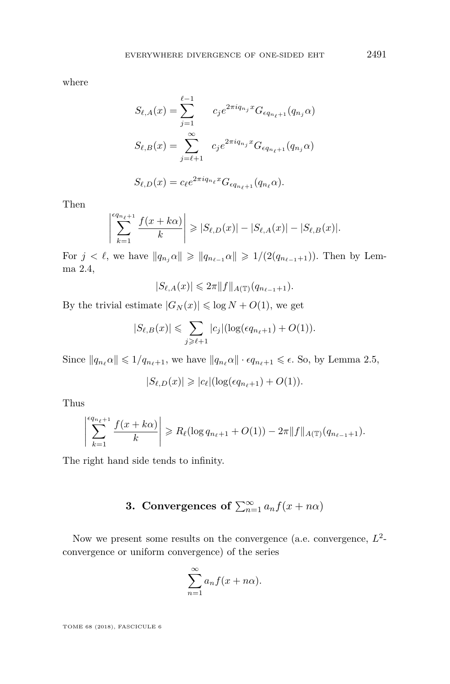where

$$
S_{\ell,A}(x) = \sum_{j=1}^{\ell-1} c_j e^{2\pi i q_{n_j} x} G_{\epsilon q_{n_{\ell}+1}}(q_{n_j} \alpha)
$$
  

$$
S_{\ell,B}(x) = \sum_{j=\ell+1}^{\infty} c_j e^{2\pi i q_{n_j} x} G_{\epsilon q_{n_{\ell}+1}}(q_{n_j} \alpha)
$$
  

$$
S_{\ell,D}(x) = c_{\ell} e^{2\pi i q_{n_{\ell}} x} G_{\epsilon q_{n_{\ell}+1}}(q_{n_{\ell}} \alpha).
$$

Then

 $\overline{\phantom{a}}$  $\overline{\phantom{a}}$  $\overline{\phantom{a}}$  $\overline{\phantom{a}}$  $\overline{\phantom{a}}$ 

$$
\sum_{k=1}^{\epsilon q_{n_{\ell}+1}} \frac{f(x+k\alpha)}{k} \geq |S_{\ell,D}(x)| - |S_{\ell,A}(x)| - |S_{\ell,B}(x)|.
$$

For  $j < \ell$ , we have  $||q_{n_i} \alpha|| \geq ||q_{n_{\ell-1}} \alpha|| \geq 1/(2(q_{n_{\ell-1}+1}))$ . Then by Lemma [2.4,](#page-6-1)

$$
|S_{\ell,A}(x)|\leqslant 2\pi \|f\|_{A(\mathbb{T})}(q_{n_{\ell-1}+1}).
$$

By the trivial estimate  $|G_N(x)| \leq \log N + O(1)$ , we get

$$
|S_{\ell,B}(x)| \leq \sum_{j \geq \ell+1} |c_j| (\log(\epsilon q_{n_{\ell}+1}) + O(1)).
$$

Since  $||q_{n_\ell} \alpha|| \leq 1/q_{n_\ell+1}$ , we have  $||q_{n_\ell} \alpha|| \cdot \epsilon q_{n_\ell+1} \leq \epsilon$ . So, by Lemma [2.5,](#page-6-2)

$$
|S_{\ell,D}(x)| \geqslant |c_{\ell}|(\log(\epsilon q_{n_{\ell}+1})+O(1)).
$$

Thus

$$
\left|\sum_{k=1}^{\epsilon q_{n_{\ell}+1}} \frac{f(x+k\alpha)}{k}\right| \geq R_{\ell}(\log q_{n_{\ell}+1} + O(1)) - 2\pi \|f\|_{A(\mathbb{T})}(q_{n_{\ell-1}+1}).
$$

The right hand side tends to infinity.

### **3.** Convergences of  $\sum_{n=1}^{\infty} a_n f(x + n\alpha)$

<span id="page-15-0"></span>Now we present some results on the convergence (a.e. convergence,  $L^2$ convergence or uniform convergence) of the series

$$
\sum_{n=1}^{\infty} a_n f(x + n\alpha).
$$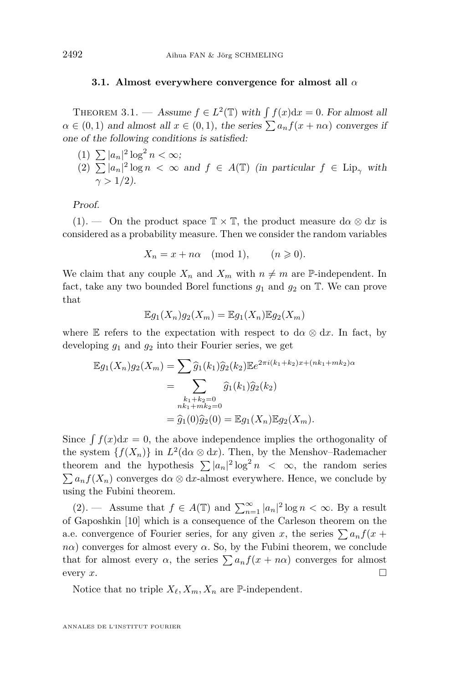#### **3.1. Almost everywhere convergence for almost all** *α*

<span id="page-16-0"></span>THEOREM 3.1. — Assume  $f \in L^2(\mathbb{T})$  with  $\int f(x)dx = 0$ . For almost all  $\alpha \in (0,1)$  and almost all  $x \in (0,1)$ , the series  $\sum a_n f(x + n\alpha)$  converges if one of the following conditions is satisfied:

<span id="page-16-2"></span><span id="page-16-1"></span>(1)  $\sum |a_n|^2 \log^2 n < \infty;$  $(2)$   $\sum |a_n|^2 \log n < \infty$  and  $f \in A(\mathbb{T})$  (in particular  $f \in \text{Lip}_{\gamma}$  with  $\gamma > 1/2$ ).

Proof.

 $(1).$  $(1).$  — On the product space  $\mathbb{T} \times \mathbb{T}$ , the product measure  $d\alpha \otimes dx$  is considered as a probability measure. Then we consider the random variables

$$
X_n = x + n\alpha \pmod{1}, \qquad (n \geqslant 0).
$$

We claim that any couple  $X_n$  and  $X_m$  with  $n \neq m$  are P-independent. In fact, take any two bounded Borel functions  $g_1$  and  $g_2$  on  $\mathbb T$ . We can prove that

$$
\mathbb{E}g_1(X_n)g_2(X_m) = \mathbb{E}g_1(X_n)\mathbb{E}g_2(X_m)
$$

where E refers to the expectation with respect to d $\alpha \otimes dx$ . In fact, by developing *g*<sup>1</sup> and *g*<sup>2</sup> into their Fourier series, we get

$$
\mathbb{E}g_1(X_n)g_2(X_m) = \sum \widehat{g}_1(k_1)\widehat{g}_2(k_2)\mathbb{E}e^{2\pi i(k_1+k_2)x + (nk_1+mk_2)\alpha}
$$
  
= 
$$
\sum_{\substack{k_1+k_2=0\\nk_1+mk_2=0}} \widehat{g}_1(k_1)\widehat{g}_2(k_2)
$$
  
= 
$$
\widehat{g}_1(0)\widehat{g}_2(0) = \mathbb{E}g_1(X_n)\mathbb{E}g_2(X_m).
$$

Since  $\int f(x)dx = 0$ , the above independence implies the orthogonality of the system  $\{f(X_n)\}\$ in  $L^2(d\alpha \otimes dx)$ . Then, by the Menshov–Rademacher theorem and the hypothesis  $\sum |a_n|^2 \log^2 n < \infty$ , the random series  $\sum a_n f(X_n)$  converges d $\alpha \otimes dx$ -almost everywhere. Hence, we conclude by using the Fubini theorem.

[\(2\)](#page-16-2). — Assume that  $f \in A(\mathbb{T})$  and  $\sum_{n=1}^{\infty} |a_n|^2 \log n < \infty$ . By a result of Gaposhkin [\[10\]](#page-24-11) which is a consequence of the Carleson theorem on the a.e. convergence of Fourier series, for any given *x*, the series  $\sum a_n f(x +$  $n\alpha$ ) converges for almost every  $\alpha$ . So, by the Fubini theorem, we conclude that for almost every  $\alpha$ , the series  $\sum a_n f(x + n\alpha)$  converges for almost every  $x$ .

Notice that no triple  $X_{\ell}, X_m, X_n$  are  $\mathbb{P}\text{-independent.}$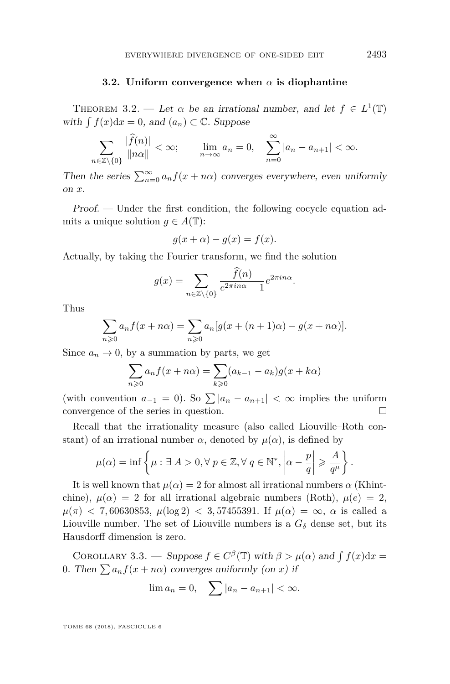#### **3.2. Uniform convergence when** *α* **is diophantine**

<span id="page-17-0"></span>THEOREM 3.2. — Let  $\alpha$  be an irrational number, and let  $f \in L^1(\mathbb{T})$ with  $\int f(x)dx = 0$ , and  $(a_n) \subset \mathbb{C}$ . Suppose

$$
\sum_{n\in\mathbb{Z}\setminus\{0\}}\frac{|\widehat{f}(n)|}{\|n\alpha\|}<\infty;\qquad\lim_{n\to\infty}a_n=0,\quad\sum_{n=0}^{\infty}|a_n-a_{n+1}|<\infty.
$$

Then the series  $\sum_{n=0}^{\infty} a_n f(x + n\alpha)$  converges everywhere, even uniformly on *x*.

Proof. — Under the first condition, the following cocycle equation admits a unique solution  $q \in A(\mathbb{T})$ :

$$
g(x + \alpha) - g(x) = f(x).
$$

Actually, by taking the Fourier transform, we find the solution

$$
g(x) = \sum_{n \in \mathbb{Z} \setminus \{0\}} \frac{f(n)}{e^{2\pi i n \alpha} - 1} e^{2\pi i n \alpha}.
$$

Thus

$$
\sum_{n\geqslant 0} a_n f(x+n\alpha) = \sum_{n\geqslant 0} a_n [g(x+(n+1)\alpha) - g(x+n\alpha)].
$$

Since  $a_n \to 0$ , by a summation by parts, we get

$$
\sum_{n\geqslant 0} a_n f(x + n\alpha) = \sum_{k\geqslant 0} (a_{k-1} - a_k) g(x + k\alpha)
$$

(with convention  $a_{-1} = 0$ ). So  $\sum |a_n - a_{n+1}| < \infty$  implies the uniform convergence of the series in question.

Recall that the irrationality measure (also called Liouville–Roth constant) of an irrational number  $\alpha$ , denoted by  $\mu(\alpha)$ , is defined by

$$
\mu(\alpha) = \inf \left\{ \mu : \exists A > 0, \forall p \in \mathbb{Z}, \forall q \in \mathbb{N}^*, \left| \alpha - \frac{p}{q} \right| \geqslant \frac{A}{q^{\mu}} \right\}.
$$

It is well known that  $\mu(\alpha) = 2$  for almost all irrational numbers  $\alpha$  (Khintchine),  $\mu(\alpha) = 2$  for all irrational algebraic numbers (Roth),  $\mu(e) = 2$ ,  $\mu(\pi)$  < 7,60630853,  $\mu(\log 2)$  < 3,57455391. If  $\mu(\alpha) = \infty$ ,  $\alpha$  is called a Liouville number. The set of Liouville numbers is a  $G_{\delta}$  dense set, but its Hausdorff dimension is zero.

COROLLARY 3.3. — Suppose  $f \in C^{\beta}(\mathbb{T})$  with  $\beta > \mu(\alpha)$  and  $\int f(x)dx =$ 0. Then  $\sum a_n f(x + n\alpha)$  converges uniformly (on *x*) if

$$
\lim a_n = 0, \quad \sum |a_n - a_{n+1}| < \infty.
$$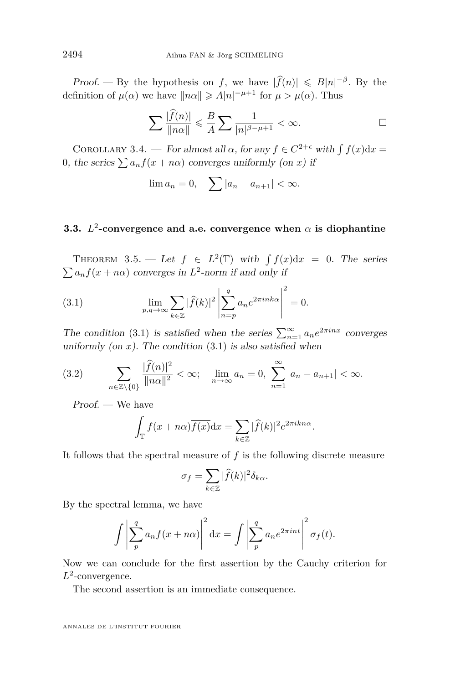Proof. — By the hypothesis on *f*, we have  $|\widehat{f}(n)| \leq B|n|^{-\beta}$ . By the definition of  $\mu(\alpha)$  we have  $\|n\alpha\| \geqslant A|n|^{-\mu+1}$  for  $\mu > \mu(\alpha)$ . Thus

$$
\sum \frac{|\widehat{f}(n)|}{\|n\alpha\|} \leq \frac{B}{A} \sum \frac{1}{|n|^{\beta - \mu + 1}} < \infty.
$$

COROLLARY 3.4. — For almost all  $\alpha$ , for any  $f \in C^{2+\epsilon}$  with  $\int f(x) dx =$ 0, the series  $\sum a_n f(x + n\alpha)$  converges uniformly (on *x*) if

$$
\lim a_n = 0, \quad \sum |a_n - a_{n+1}| < \infty.
$$

#### **3.3.** *L* 2 **-convergence and a.e. convergence when** *α* **is diophantine**

<span id="page-18-0"></span>THEOREM 3.5. — Let  $f \in L^2(\mathbb{T})$  with  $\int f(x) dx = 0$ . The series  $\sum a_n f(x + n\alpha)$  converges in  $L^2$ -norm if and only if

<span id="page-18-1"></span>(3.1) 
$$
\lim_{p,q \to \infty} \sum_{k \in \mathbb{Z}} |\widehat{f}(k)|^2 \left| \sum_{n=p}^q a_n e^{2\pi i n k \alpha} \right|^2 = 0.
$$

The condition [\(3.1\)](#page-18-1) is satisfied when the series  $\sum_{n=1}^{\infty} a_n e^{2\pi i nx}$  converges uniformly (on  $x$ ). The condition  $(3.1)$  is also satisfied when

<span id="page-18-2"></span>(3.2) 
$$
\sum_{n \in \mathbb{Z} \setminus \{0\}} \frac{|\widehat{f}(n)|^2}{\|n\alpha\|^2} < \infty; \quad \lim_{n \to \infty} a_n = 0, \ \sum_{n=1}^{\infty} |a_n - a_{n+1}| < \infty.
$$

Proof. — We have

$$
\int_{\mathbb{T}} f(x + n\alpha) \overline{f(x)} dx = \sum_{k \in \mathbb{Z}} |\widehat{f}(k)|^2 e^{2\pi i k n \alpha}
$$

*.*

It follows that the spectral measure of *f* is the following discrete measure

$$
\sigma_f = \sum_{k \in \mathbb{Z}} |\widehat{f}(k)|^2 \delta_{k\alpha}.
$$

By the spectral lemma, we have

$$
\int \left| \sum_{p}^{q} a_n f(x + n\alpha) \right|^2 dx = \int \left| \sum_{p}^{q} a_n e^{2\pi i n t} \right|^2 \sigma_f(t).
$$

Now we can conclude for the first assertion by the Cauchy criterion for *L* 2 -convergence.

The second assertion is an immediate consequence.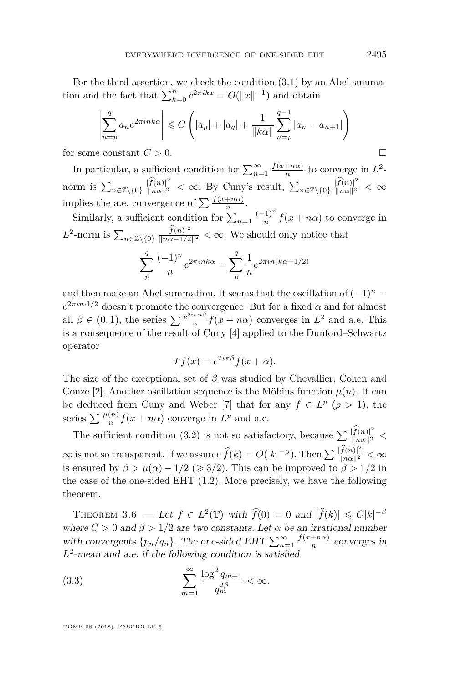For the third assertion, we check the condition [\(3.1\)](#page-18-1) by an Abel summation and the fact that  $\sum_{k=0}^{n} e^{2\pi i kx} = O(||x||^{-1})$  and obtain

$$
\left| \sum_{n=p}^{q} a_n e^{2\pi i n k \alpha} \right| \leq C \left( |a_p| + |a_q| + \frac{1}{\|k\alpha\|} \sum_{n=p}^{q-1} |a_n - a_{n+1}| \right)
$$

for some constant  $C > 0$ .

In particular, a sufficient condition for  $\sum_{n=1}^{\infty} \frac{f(x+n\alpha)}{n}$  $\frac{1}{n}$  to converge in  $L^2$ norm is  $\sum_{n\in\mathbb{Z}\setminus\{0\}}\frac{|f(n)|^2}{\|n\alpha\|^2}<\infty$ . By Cuny's result,  $\sum_{n\in\mathbb{Z}\setminus\{0\}}\frac{|f(n)|^2}{\|n\alpha\|^2}<\infty$ implies the a.e. convergence of  $\sum_{n} \frac{f(x+n\alpha)}{n}$ .

Similarly, a sufficient condition for  $\sum_{n=1}^{\infty} \frac{(-1)^n}{n}$  $\frac{1}{n} f(x + n\alpha)$  to converge in  $L^2$ -norm is  $\sum_{n \in \mathbb{Z} \setminus \{0\}} \frac{|f(n)|^2}{\|n\alpha - 1/2\|^2} < \infty$ . We should only notice that

$$
\sum_{p}^{q} \frac{(-1)^{n}}{n} e^{2\pi i n k \alpha} = \sum_{p}^{q} \frac{1}{n} e^{2\pi i n (k \alpha - 1/2)}
$$

and then make an Abel summation. It seems that the oscillation of  $(-1)^n$  =  $e^{2\pi i n \cdot 1/2}$  doesn't promote the convergence. But for a fixed *α* and for almost all  $\beta \in (0,1)$ , the series  $\sum_{n=1}^{\infty} \frac{e^{2i\pi n \beta}}{n}$  $\frac{f^{mnp}}{n} f(x + n\alpha)$  converges in  $L^2$  and a.e. This is a consequence of the result of Cuny [\[4\]](#page-24-5) applied to the Dunford–Schwartz operator

$$
Tf(x) = e^{2i\pi\beta} f(x + \alpha).
$$

The size of the exceptional set of *β* was studied by Chevallier, Cohen and Conze [\[2\]](#page-23-2). Another oscillation sequence is the Möbius function  $\mu(n)$ . It can be deduced from Cuny and Weber [\[7\]](#page-24-12) that for any  $f \in L^p$  ( $p > 1$ ), the series  $\sum \frac{\mu(n)}{n} f(x + n\alpha)$  converge in  $L^p$  and a.e.

The sufficient condition [\(3.2\)](#page-18-2) is not so satisfactory, because  $\sum \frac{|f(n)|^2}{\|n\alpha\|^2}$  $\infty$  is not so transparent. If we assume  $\widehat{f}(k) = O(|k|^{-\beta})$ . Then  $\sum \frac{|\widehat{f}(n)|^2}{\|n\alpha\|^2} < \infty$ is ensured by  $\beta > \mu(\alpha) - 1/2 \geq 3/2$ . This can be improved to  $\beta > 1/2$  in the case of the one-sided EHT  $(1.2)$ . More precisely, we have the following theorem.

<span id="page-19-0"></span>THEOREM 3.6. — Let  $f \in L^2(\mathbb{T})$  with  $\widehat{f}(0) = 0$  and  $|\widehat{f}(k)| \leq C|k|^{-\beta}$ where  $C > 0$  and  $\beta > 1/2$  are two constants. Let  $\alpha$  be an irrational number with convergents  $\{p_n/q_n\}$ . The one-sided EHT  $\sum_{n=1}^{\infty} \frac{f(x+n\alpha)}{n}$  $\frac{1}{n}$  converges in  $L^2$ -mean and a.e. if the following condition is satisfied

<span id="page-19-1"></span>(3.3) 
$$
\sum_{m=1}^{\infty} \frac{\log^2 q_{m+1}}{q_m^{2\beta}} < \infty.
$$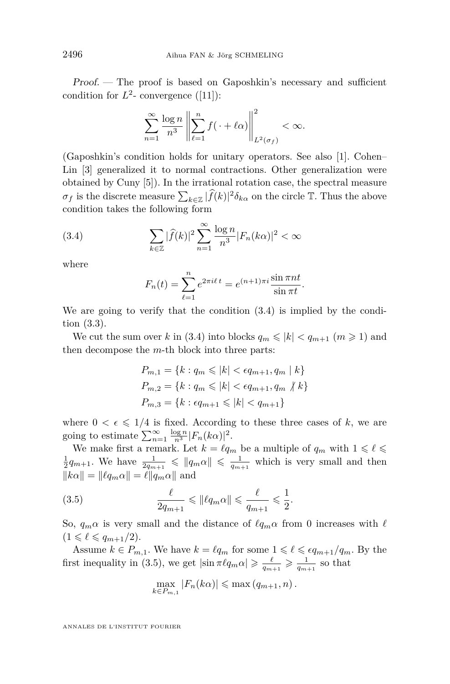Proof. — The proof is based on Gaposhkin's necessary and sufficient condition for  $L^2$ - convergence ([\[11\]](#page-24-6)):

$$
\sum_{n=1}^{\infty} \frac{\log n}{n^3} \left\| \sum_{\ell=1}^n f(\cdot + \ell \alpha) \right\|_{L^2(\sigma_f)}^2 < \infty.
$$

(Gaposhkin's condition holds for unitary operators. See also [\[1\]](#page-23-0). Cohen– Lin [\[3\]](#page-23-3) generalized it to normal contractions. Other generalization were obtained by Cuny [\[5\]](#page-24-13)). In the irrational rotation case, the spectral measure  $\sigma_f$  is the discrete measure  $\sum_{k \in \mathbb{Z}} |\widehat{f}(k)|^2 \delta_{k\alpha}$  on the circle  $\mathbb{T}$ . Thus the above condition takes the following form

(3.4) 
$$
\sum_{k\in\mathbb{Z}}|\widehat{f}(k)|^2\sum_{n=1}^{\infty}\frac{\log n}{n^3}|F_n(k\alpha)|^2 < \infty
$$

where

<span id="page-20-0"></span>
$$
F_n(t) = \sum_{\ell=1}^n e^{2\pi i \ell t} = e^{(n+1)\pi i} \frac{\sin \pi nt}{\sin \pi t}.
$$

We are going to verify that the condition  $(3.4)$  is implied by the condition [\(3.3\)](#page-19-1).

We cut the sum over *k* in [\(3.4\)](#page-20-0) into blocks  $q_m \leq |k| < q_{m+1}$   $(m \geq 1)$  and then decompose the *m*-th block into three parts:

$$
P_{m,1} = \{k : q_m \le |k| < \epsilon q_{m+1}, q_m \mid k\}
$$
\n
$$
P_{m,2} = \{k : q_m \le |k| < \epsilon q_{m+1}, q_m \nmid k\}
$$
\n
$$
P_{m,3} = \{k : \epsilon q_{m+1} \le |k| < q_{m+1}\}
$$

where  $0 < \epsilon \leq 1/4$  is fixed. According to these three cases of k, we are going to estimate  $\sum_{n=1}^{\infty} \frac{\log n}{n^3} |F_n(k\alpha)|^2$ .

We make first a remark. Let  $k = \ell q_m$  be a multiple of  $q_m$  with  $1 \leq \ell \leq \ell$  $\frac{1}{2}q_{m+1}$ . We have  $\frac{1}{2q_{m+1}} \leqslant ||q_m \alpha|| \leqslant \frac{1}{q_{m+1}}$  which is very small and then  $||k\alpha|| = ||\ell q_m \alpha|| = \ell ||q_m \alpha||$  and

(3.5) 
$$
\frac{\ell}{2q_{m+1}} \leq \|\ell q_m \alpha\| \leq \frac{\ell}{q_{m+1}} \leq \frac{1}{2}.
$$

So,  $q_m \alpha$  is very small and the distance of  $\ell q_m \alpha$  from 0 increases with  $\ell$  $(1 \leq \ell \leq q_{m+1}/2).$ 

Assume  $k \in P_{m,1}$ . We have  $k = \ell q_m$  for some  $1 \leq \ell \leq \epsilon q_{m+1}/q_m$ . By the first inequality in [\(3.5\)](#page-20-1), we get  $|\sin \pi \ell q_m \alpha| \geqslant \frac{\ell}{q_{m+1}} \geqslant \frac{1}{q_{m+1}}$  so that

<span id="page-20-1"></span>
$$
\max_{k \in P_{m,1}} |F_n(k\alpha)| \leq \max (q_{m+1}, n).
$$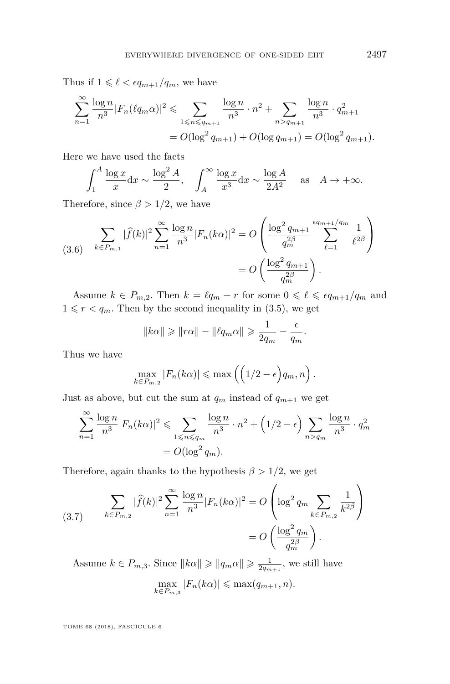Thus if  $1 \leq \ell < \epsilon q_{m+1}/q_m$ , we have

$$
\sum_{n=1}^{\infty} \frac{\log n}{n^3} |F_n(\ell q_m \alpha)|^2 \leq \sum_{1 \leq n \leq q_{m+1}} \frac{\log n}{n^3} \cdot n^2 + \sum_{n > q_{m+1}} \frac{\log n}{n^3} \cdot q_{m+1}^2
$$
  
=  $O(\log^2 q_{m+1}) + O(\log q_{m+1}) = O(\log^2 q_{m+1}).$ 

Here we have used the facts

$$
\int_1^A \frac{\log x}{x} dx \sim \frac{\log^2 A}{2}, \quad \int_A^\infty \frac{\log x}{x^3} dx \sim \frac{\log A}{2A^2} \quad \text{as} \quad A \to +\infty.
$$

Therefore, since  $\beta > 1/2$ , we have

<span id="page-21-0"></span>
$$
(3.6) \sum_{k \in P_{m,1}} |\widehat{f}(k)|^2 \sum_{n=1}^{\infty} \frac{\log n}{n^3} |F_n(k\alpha)|^2 = O\left(\frac{\log^2 q_{m+1}}{q_m^{2\beta}} \sum_{\ell=1}^{\epsilon q_{m+1}/q_m} \frac{1}{\ell^{2\beta}}\right)
$$

$$
= O\left(\frac{\log^2 q_{m+1}}{q_m^{2\beta}}\right).
$$

Assume  $k \in P_{m,2}$ . Then  $k = \ell q_m + r$  for some  $0 \leq \ell \leq \epsilon q_{m+1}/q_m$  and  $1 \leq r < q_m$ . Then by the second inequality in [\(3.5\)](#page-20-1), we get

$$
||k\alpha|| \ge ||r\alpha|| - ||\ell q_m \alpha|| \ge \frac{1}{2q_m} - \frac{\epsilon}{q_m}.
$$

Thus we have

$$
\max_{k \in P_{m,2}} |F_n(k\alpha)| \leqslant \max\left(\left(1/2 - \epsilon\right) q_m, n\right).
$$

Just as above, but cut the sum at  $q_m$  instead of  $q_{m+1}$  we get

$$
\sum_{n=1}^{\infty} \frac{\log n}{n^3} |F_n(k\alpha)|^2 \leq \sum_{1 \leq n \leq q_m} \frac{\log n}{n^3} \cdot n^2 + \left(1/2 - \epsilon\right) \sum_{n > q_m} \frac{\log n}{n^3} \cdot q_m^2
$$

$$
= O\left(\log^2 q_m\right).
$$

Therefore, again thanks to the hypothesis  $\beta > 1/2$ , we get

<span id="page-21-1"></span>(3.7) 
$$
\sum_{k \in P_{m,2}} |\widehat{f}(k)|^2 \sum_{n=1}^{\infty} \frac{\log n}{n^3} |F_n(k\alpha)|^2 = O\left(\log^2 q_m \sum_{k \in P_{m,2}} \frac{1}{k^{2\beta}}\right)
$$

$$
= O\left(\frac{\log^2 q_m}{q_m^{2\beta}}\right).
$$

Assume  $k \in P_{m,3}$ . Since  $||k\alpha|| \geqslant ||q_m \alpha|| \geqslant \frac{1}{2q_{m+1}}$ , we still have  $\max_{k \in P_{m,3}} |F_n(k\alpha)| \leq \max(q_{m+1}, n).$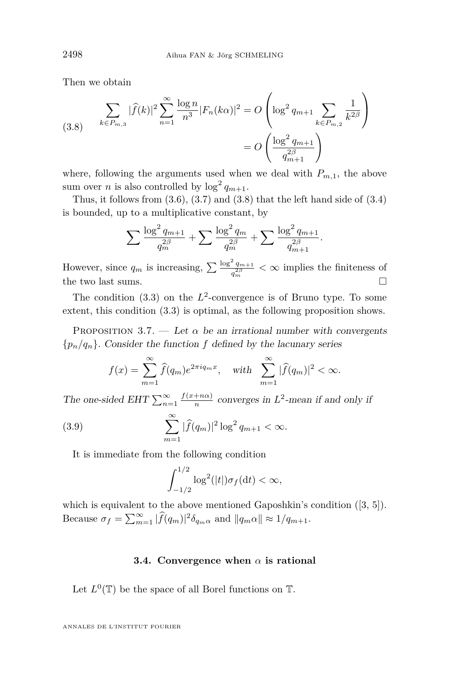Then we obtain

<span id="page-22-1"></span>(3.8) 
$$
\sum_{k \in P_{m,3}} |\widehat{f}(k)|^2 \sum_{n=1}^{\infty} \frac{\log n}{n^3} |F_n(k\alpha)|^2 = O\left(\log^2 q_{m+1} \sum_{k \in P_{m,2}} \frac{1}{k^{2\beta}}\right)
$$

$$
= O\left(\frac{\log^2 q_{m+1}}{q_{m+1}^{2\beta}}\right)
$$

where, following the arguments used when we deal with  $P_{m,1}$ , the above sum over *n* is also controlled by  $\log^2 q_{m+1}$ .

Thus, it follows from  $(3.6)$ ,  $(3.7)$  and  $(3.8)$  that the left hand side of  $(3.4)$ is bounded, up to a multiplicative constant, by

$$
\sum \frac{\log^2 q_{m+1}}{q_m^{2\beta}} + \sum \frac{\log^2 q_m}{q_m^{2\beta}} + \sum \frac{\log^2 q_{m+1}}{q_{m+1}^{2\beta}}.
$$

However, since  $q_m$  is increasing,  $\sum \frac{\log^2 q_{m+1}}{q^{2\beta}}$  $\frac{q_{m+1}}{q_m^2} < \infty$  implies the finiteness of the two last sums.  $\Box$ 

The condition  $(3.3)$  on the  $L^2$ -convergence is of Bruno type. To some extent, this condition [\(3.3\)](#page-19-1) is optimal, as the following proposition shows.

<span id="page-22-0"></span>PROPOSITION 3.7. — Let  $\alpha$  be an irrational number with convergents  ${p_n/q_n}$ . Consider the function *f* defined by the lacunary series

$$
f(x) = \sum_{m=1}^{\infty} \widehat{f}(q_m) e^{2\pi i q_m x}, \quad \text{with} \quad \sum_{m=1}^{\infty} |\widehat{f}(q_m)|^2 < \infty.
$$

The one-sided EHT  $\sum_{n=1}^{\infty} \frac{f(x+n\alpha)}{n}$  $\frac{1+n\alpha}{n}$  converges in  $L^2$ -mean if and only if

(3.9) 
$$
\sum_{m=1}^{\infty} |\hat{f}(q_m)|^2 \log^2 q_{m+1} < \infty.
$$

It is immediate from the following condition

$$
\int_{-1/2}^{1/2} \log^2(|t|) \sigma_f(\mathrm{d}t) < \infty,
$$

which is equivalent to the above mentioned Gaposhkin's condition  $([3, 5])$  $([3, 5])$  $([3, 5])$  $([3, 5])$  $([3, 5])$ . Because  $\sigma_f = \sum_{m=1}^{\infty} |\widehat{f}(q_m)|^2 \delta_{q_m} \alpha$  and  $||q_m \alpha|| \approx 1/q_{m+1}$ .

#### **3.4. Convergence when** *α* **is rational**

Let  $L^0(\mathbb{T})$  be the space of all Borel functions on  $\mathbb{T}$ .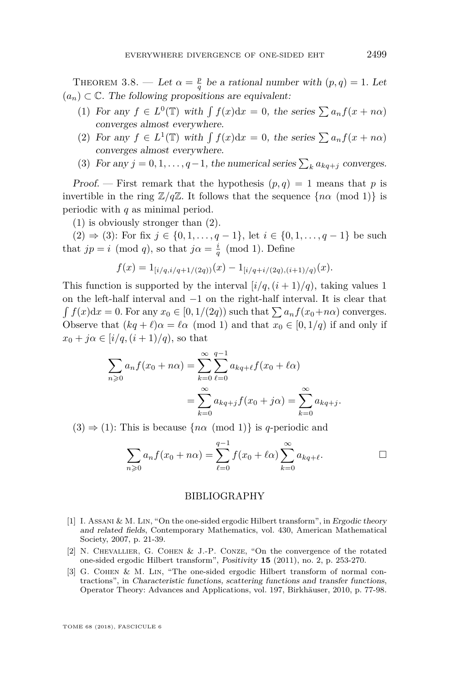<span id="page-23-1"></span>THEOREM 3.8. — Let  $\alpha = \frac{p}{q}$  be a rational number with  $(p, q) = 1$ . Let  $(a_n) \subset \mathbb{C}$ . The following propositions are equivalent:

- <span id="page-23-4"></span>(1) For any  $f \in L^0(\mathbb{T})$  with  $\int f(x)dx = 0$ , the series  $\sum a_n f(x + n\alpha)$ converges almost everywhere.
- <span id="page-23-5"></span>(2) For any  $f \in L^1(\mathbb{T})$  with  $\int f(x)dx = 0$ , the series  $\sum a_n f(x + n\alpha)$ converges almost everywhere.
- <span id="page-23-6"></span>(3) For any  $j = 0, 1, \ldots, q-1$ , the numerical series  $\sum_{k} a_{kq+j}$  converges.

Proof. – First remark that the hypothesis  $(p, q) = 1$  means that p is invertible in the ring  $\mathbb{Z}/q\mathbb{Z}$ . It follows that the sequence  $\{n\alpha \pmod{1}\}$  is periodic with *q* as minimal period.

[\(1\)](#page-23-4) is obviously stronger than [\(2\)](#page-23-5).

[\(2\)](#page-23-5) ⇒ [\(3\)](#page-23-6): For fix  $j \in \{0, 1, ..., q - 1\}$ , let  $i \in \{0, 1, ..., q - 1\}$  be such that  $jp = i \pmod{q}$ , so that  $j\alpha = \frac{i}{q} \pmod{1}$ . Define

$$
f(x) = 1_{[i/q, i/q+1/(2q))}(x) - 1_{[i/q+i/(2q), (i+1)/q)}(x).
$$

This function is supported by the interval  $[i/q, (i+1)/q)$ , taking values 1 on the left-half interval and −1 on the right-half interval. It is clear that  $\int f(x)dx = 0$ . For any  $x_0 \in [0, 1/(2q))$  such that  $\sum a_n f(x_0 + n\alpha)$  converges. Observe that  $(kq + \ell)\alpha = \ell\alpha \pmod{1}$  and that  $x_0 \in [0, 1/q)$  if and only if  $x_0 + j\alpha \in [i/q, (i+1)/q)$ , so that

$$
\sum_{n\geq 0} a_n f(x_0 + n\alpha) = \sum_{k=0}^{\infty} \sum_{\ell=0}^{q-1} a_{kq+\ell} f(x_0 + \ell \alpha)
$$

$$
= \sum_{k=0}^{\infty} a_{kq+j} f(x_0 + j\alpha) = \sum_{k=0}^{\infty} a_{kq+j}.
$$

 $(3) \Rightarrow (1)$  $(3) \Rightarrow (1)$  $(3) \Rightarrow (1)$ : This is because  $\{n\alpha \pmod{1}\}$  is *q*-periodic and

$$
\sum_{n\geq 0} a_n f(x_0 + n\alpha) = \sum_{\ell=0}^{q-1} f(x_0 + \ell \alpha) \sum_{k=0}^{\infty} a_{kq+\ell}.
$$

#### BIBLIOGRAPHY

- <span id="page-23-0"></span>[1] I. Assani & M. Lin, "On the one-sided ergodic Hilbert transform", in Ergodic theory and related fields, Contemporary Mathematics, vol. 430, American Mathematical Society, 2007, p. 21-39.
- <span id="page-23-2"></span>[2] N. Chevallier, G. Cohen & J.-P. Conze, "On the convergence of the rotated one-sided ergodic Hilbert transform", Positivity **15** (2011), no. 2, p. 253-270.
- <span id="page-23-3"></span>[3] G. Cohen & M. Lin, "The one-sided ergodic Hilbert transform of normal contractions", in Characteristic functions, scattering functions and transfer functions, Operator Theory: Advances and Applications, vol. 197, Birkhäuser, 2010, p. 77-98.